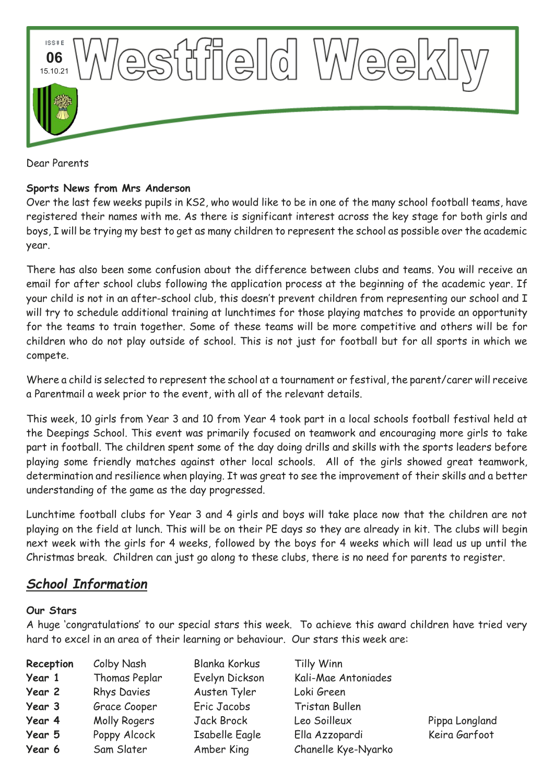

Dear Parents

### **Sports News from Mrs Anderson**

Over the last few weeks pupils in KS2, who would like to be in one of the many school football teams, have registered their names with me. As there is significant interest across the key stage for both girls and boys, I will be trying my best to get as many children to represent the school as possible over the academic year.

There has also been some confusion about the difference between clubs and teams. You will receive an email for after school clubs following the application process at the beginning of the academic year. If your child is not in an after-school club, this doesn't prevent children from representing our school and I will try to schedule additional training at lunchtimes for those playing matches to provide an opportunity for the teams to train together. Some of these teams will be more competitive and others will be for children who do not play outside of school. This is not just for football but for all sports in which we compete.

Where a child is selected to represent the school at a tournament or festival, the parent/carer will receive a Parentmail a week prior to the event, with all of the relevant details.

This week, 10 girls from Year 3 and 10 from Year 4 took part in a local schools football festival held at the Deepings School. This event was primarily focused on teamwork and encouraging more girls to take part in football. The children spent some of the day doing drills and skills with the sports leaders before playing some friendly matches against other local schools. All of the girls showed great teamwork, determination and resilience when playing. It was great to see the improvement of their skills and a better understanding of the game as the day progressed.

Lunchtime football clubs for Year 3 and 4 girls and boys will take place now that the children are not playing on the field at lunch. This will be on their PE days so they are already in kit. The clubs will begin next week with the girls for 4 weeks, followed by the boys for 4 weeks which will lead us up until the Christmas break. Children can just go along to these clubs, there is no need for parents to register.

# *School Information*

#### **Our Stars**

A huge 'congratulations' to our special stars this week. To achieve this award children have tried very hard to excel in an area of their learning or behaviour. Our stars this week are:

| Reception | Colby Nash         | <b>Blanka Korkus</b> | Tilly Winn          |
|-----------|--------------------|----------------------|---------------------|
| Year 1    | Thomas Peplar      | Evelyn Dickson       | Kali-Mae Antoniades |
| Year 2    | <b>Rhys Davies</b> | Austen Tyler         | Loki Green          |
| Year 3    | Grace Cooper       | Eric Jacobs          | Tristan Bullen      |
| Year 4    | Molly Rogers       | Jack Brock           | Leo Soilleux        |
| Year 5    | Poppy Alcock       | Isabelle Eagle       | Ella Azzopardi      |
| Year 6    | Sam Slater         | Amber King           | Chanelle Kye-Nyarko |

Pippa Longland Keira Garfoot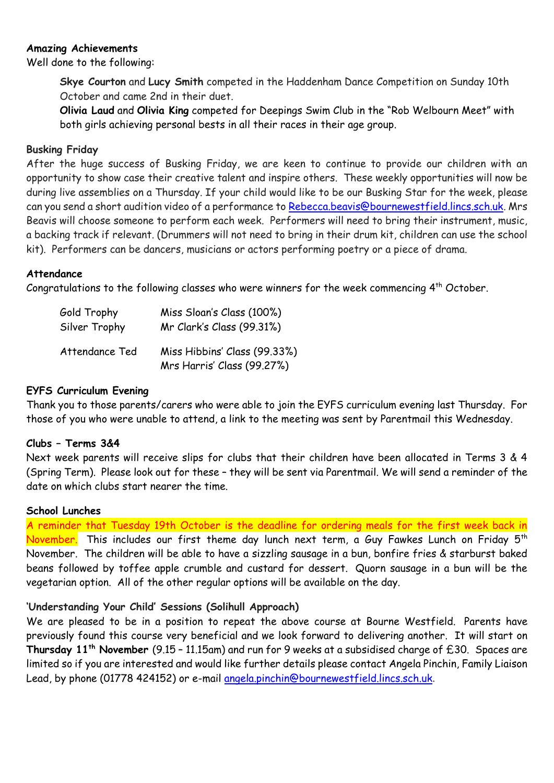#### **Amazing Achievements**

Well done to the following:

**Skye Courton** and **Lucy Smith** competed in the Haddenham Dance Competition on Sunday 10th October and came 2nd in their duet.

**Olivia Laud** and **Olivia King** competed for Deepings Swim Club in the "Rob Welbourn Meet" with both girls achieving personal bests in all their races in their age group.

#### **Busking Friday**

After the huge success of Busking Friday, we are keen to continue to provide our children with an opportunity to show case their creative talent and inspire others. These weekly opportunities will now be during live assemblies on a Thursday. If your child would like to be our Busking Star for the week, please can you send a short audition video of a performance to [Rebecca.beavis@bournewestfield.lincs.sch.uk.](mailto:Rebecca.beavis@bournewestfield.lincs.sch.uk) Mrs Beavis will choose someone to perform each week. Performers will need to bring their instrument, music, a backing track if relevant. (Drummers will not need to bring in their drum kit, children can use the school kit). Performers can be dancers, musicians or actors performing poetry or a piece of drama.

#### **Attendance**

Congratulations to the following classes who were winners for the week commencing  $4^{th}$  October.

| Gold Trophy    | Miss Sloan's Class (100%)                                  |  |
|----------------|------------------------------------------------------------|--|
| Silver Trophy  | Mr Clark's Class (99.31%)                                  |  |
| Attendance Ted | Miss Hibbins' Class (99.33%)<br>Mrs Harris' Class (99.27%) |  |

#### **EYFS Curriculum Evening**

Thank you to those parents/carers who were able to join the EYFS curriculum evening last Thursday. For those of you who were unable to attend, a link to the meeting was sent by Parentmail this Wednesday.

#### **Clubs – Terms 3&4**

Next week parents will receive slips for clubs that their children have been allocated in Terms 3 & 4 (Spring Term). Please look out for these – they will be sent via Parentmail. We will send a reminder of the date on which clubs start nearer the time.

#### **School Lunches**

A reminder that Tuesday 19th October is the deadline for ordering meals for the first week back in November. This includes our first theme day lunch next term, a Guy Fawkes Lunch on Friday 5<sup>th</sup> November. The children will be able to have a sizzling sausage in a bun, bonfire fries & starburst baked beans followed by toffee apple crumble and custard for dessert. Quorn sausage in a bun will be the vegetarian option. All of the other regular options will be available on the day.

### **'Understanding Your Child' Sessions (Solihull Approach)**

We are pleased to be in a position to repeat the above course at Bourne Westfield. Parents have previously found this course very beneficial and we look forward to delivering another. It will start on **Thursday 11th November** (9.15 – 11.15am) and run for 9 weeks at a subsidised charge of £30. Spaces are limited so if you are interested and would like further details please contact Angela Pinchin, Family Liaison Lead, by phone (01778 424152) or e-mail [angela.pinchin@bournewestfield.lincs.sch.uk](mailto:angela.pinchin@bournewestfield.lincs.sch.uk).